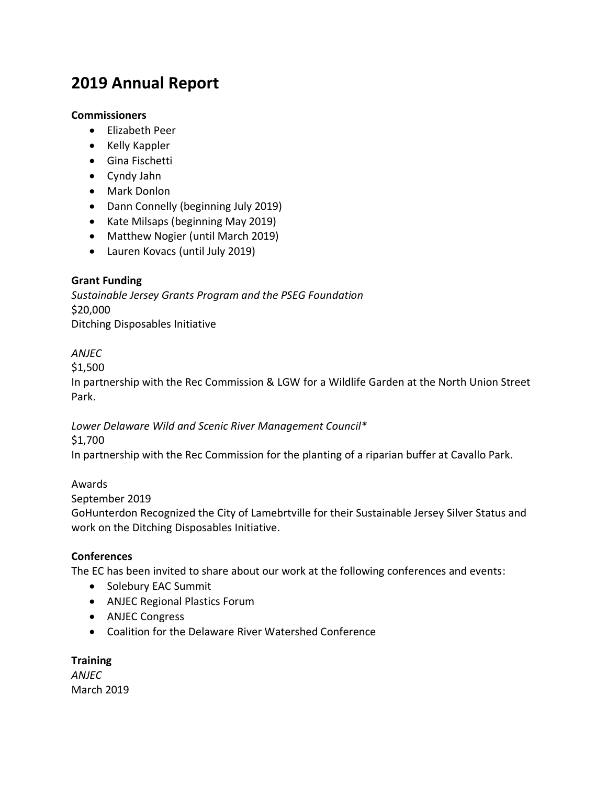# **2019 Annual Report**

#### **Commissioners**

- Elizabeth Peer
- Kelly Kappler
- Gina Fischetti
- Cyndy Jahn
- Mark Donlon
- Dann Connelly (beginning July 2019)
- Kate Milsaps (beginning May 2019)
- Matthew Nogier (until March 2019)
- Lauren Kovacs (until July 2019)

#### **Grant Funding**

*Sustainable Jersey Grants Program and the PSEG Foundation* \$20,000 Ditching Disposables Initiative

#### *ANJEC*

\$1,500

In partnership with the Rec Commission & LGW for a Wildlife Garden at the North Union Street Park.

*Lower Delaware Wild and Scenic River Management Council\**

#### \$1,700

In partnership with the Rec Commission for the planting of a riparian buffer at Cavallo Park.

#### Awards

September 2019

GoHunterdon Recognized the City of Lamebrtville for their Sustainable Jersey Silver Status and work on the Ditching Disposables Initiative.

#### **Conferences**

The EC has been invited to share about our work at the following conferences and events:

- Solebury EAC Summit
- ANJEC Regional Plastics Forum
- ANJEC Congress
- Coalition for the Delaware River Watershed Conference

## **Training**

*ANJEC* March 2019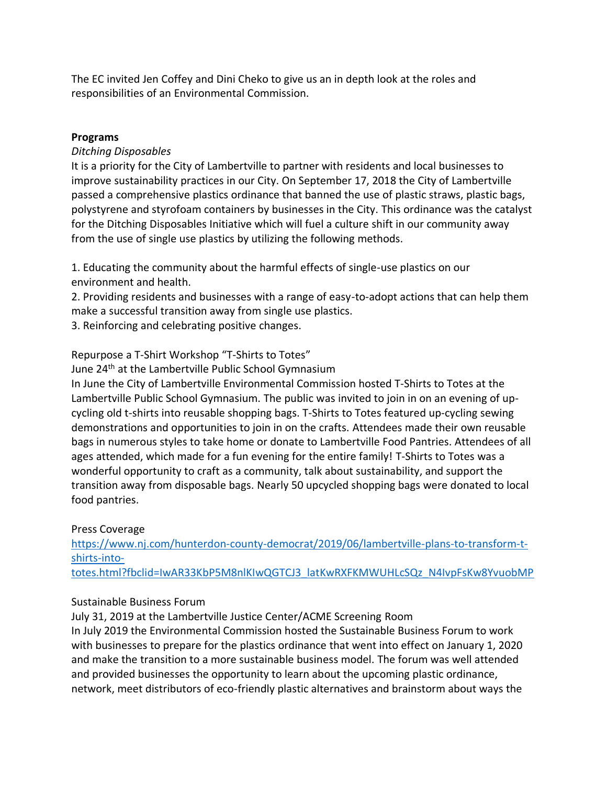The EC invited Jen Coffey and Dini Cheko to give us an in depth look at the roles and responsibilities of an Environmental Commission.

## **Programs**

## *Ditching Disposables*

It is a priority for the City of Lambertville to partner with residents and local businesses to improve sustainability practices in our City. On September 17, 2018 the City of Lambertville passed a comprehensive plastics ordinance that banned the use of plastic straws, plastic bags, polystyrene and styrofoam containers by businesses in the City. This ordinance was the catalyst for the Ditching Disposables Initiative which will fuel a culture shift in our community away from the use of single use plastics by utilizing the following methods.

1. Educating the community about the harmful effects of single-use plastics on our environment and health.

2. Providing residents and businesses with a range of easy-to-adopt actions that can help them make a successful transition away from single use plastics.

3. Reinforcing and celebrating positive changes.

Repurpose a T-Shirt Workshop "T-Shirts to Totes"

June 24<sup>th</sup> at the Lambertville Public School Gymnasium

In June the City of Lambertville Environmental Commission hosted T-Shirts to Totes at the Lambertville Public School Gymnasium. The public was invited to join in on an evening of upcycling old t-shirts into reusable shopping bags. T-Shirts to Totes featured up-cycling sewing demonstrations and opportunities to join in on the crafts. Attendees made their own reusable bags in numerous styles to take home or donate to Lambertville Food Pantries. Attendees of all ages attended, which made for a fun evening for the entire family! T-Shirts to Totes was a wonderful opportunity to craft as a community, talk about sustainability, and support the transition away from disposable bags. Nearly 50 upcycled shopping bags were donated to local food pantries.

## Press Coverage

[https://www.nj.com/hunterdon-county-democrat/2019/06/lambertville-plans-to-transform-t](https://www.nj.com/hunterdon-county-democrat/2019/06/lambertville-plans-to-transform-t-shirts-into-totes.html?fbclid=IwAR33KbP5M8nlKIwQGTCJ3_latKwRXFKMWUHLcSQz_N4IvpFsKw8YvuobMP)[shirts-into-](https://www.nj.com/hunterdon-county-democrat/2019/06/lambertville-plans-to-transform-t-shirts-into-totes.html?fbclid=IwAR33KbP5M8nlKIwQGTCJ3_latKwRXFKMWUHLcSQz_N4IvpFsKw8YvuobMP)

[totes.html?fbclid=IwAR33KbP5M8nlKIwQGTCJ3\\_latKwRXFKMWUHLcSQz\\_N4IvpFsKw8YvuobMP](https://www.nj.com/hunterdon-county-democrat/2019/06/lambertville-plans-to-transform-t-shirts-into-totes.html?fbclid=IwAR33KbP5M8nlKIwQGTCJ3_latKwRXFKMWUHLcSQz_N4IvpFsKw8YvuobMP)

## Sustainable Business Forum

July 31, 2019 at the Lambertville Justice Center/ACME Screening Room

In July 2019 the Environmental Commission hosted the Sustainable Business Forum to work with businesses to prepare for the plastics ordinance that went into effect on January 1, 2020 and make the transition to a more sustainable business model. The forum was well attended and provided businesses the opportunity to learn about the upcoming plastic ordinance, network, meet distributors of eco-friendly plastic alternatives and brainstorm about ways the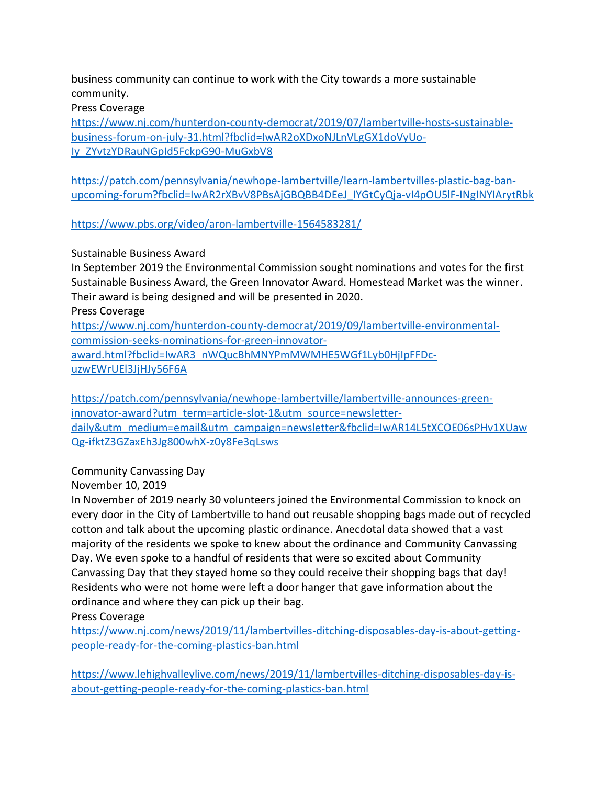business community can continue to work with the City towards a more sustainable community.

Press Coverage

[https://www.nj.com/hunterdon-county-democrat/2019/07/lambertville-hosts-sustainable](https://www.nj.com/hunterdon-county-democrat/2019/07/lambertville-hosts-sustainable-business-forum-on-july-31.html?fbclid=IwAR2oXDxoNJLnVLgGX1doVyUo-Iy_ZYvtzYDRauNGpId5FckpG90-MuGxbV8)[business-forum-on-july-31.html?fbclid=IwAR2oXDxoNJLnVLgGX1doVyUo-](https://www.nj.com/hunterdon-county-democrat/2019/07/lambertville-hosts-sustainable-business-forum-on-july-31.html?fbclid=IwAR2oXDxoNJLnVLgGX1doVyUo-Iy_ZYvtzYDRauNGpId5FckpG90-MuGxbV8)[Iy\\_ZYvtzYDRauNGpId5FckpG90-MuGxbV8](https://www.nj.com/hunterdon-county-democrat/2019/07/lambertville-hosts-sustainable-business-forum-on-july-31.html?fbclid=IwAR2oXDxoNJLnVLgGX1doVyUo-Iy_ZYvtzYDRauNGpId5FckpG90-MuGxbV8)

[https://patch.com/pennsylvania/newhope-lambertville/learn-lambertvilles-plastic-bag-ban](https://patch.com/pennsylvania/newhope-lambertville/learn-lambertvilles-plastic-bag-ban-upcoming-forum?fbclid=IwAR2rXBvV8PBsAjGBQBB4DEeJ_IYGtCyQja-vI4pOU5lF-INgINYIArytRbk)[upcoming-forum?fbclid=IwAR2rXBvV8PBsAjGBQBB4DEeJ\\_IYGtCyQja-vI4pOU5lF-INgINYIArytRbk](https://patch.com/pennsylvania/newhope-lambertville/learn-lambertvilles-plastic-bag-ban-upcoming-forum?fbclid=IwAR2rXBvV8PBsAjGBQBB4DEeJ_IYGtCyQja-vI4pOU5lF-INgINYIArytRbk)

<https://www.pbs.org/video/aron-lambertville-1564583281/>

Sustainable Business Award

In September 2019 the Environmental Commission sought nominations and votes for the first Sustainable Business Award, the Green Innovator Award. Homestead Market was the winner. Their award is being designed and will be presented in 2020.

Press Coverage

[https://www.nj.com/hunterdon-county-democrat/2019/09/lambertville-environmental](https://www.nj.com/hunterdon-county-democrat/2019/09/lambertville-environmental-commission-seeks-nominations-for-green-innovator-award.html?fbclid=IwAR3_nWQucBhMNYPmMWMHE5WGf1Lyb0HjIpFFDc-uzwEWrUEl3JjHJy56F6A)[commission-seeks-nominations-for-green-innovator](https://www.nj.com/hunterdon-county-democrat/2019/09/lambertville-environmental-commission-seeks-nominations-for-green-innovator-award.html?fbclid=IwAR3_nWQucBhMNYPmMWMHE5WGf1Lyb0HjIpFFDc-uzwEWrUEl3JjHJy56F6A)[award.html?fbclid=IwAR3\\_nWQucBhMNYPmMWMHE5WGf1Lyb0HjIpFFDc](https://www.nj.com/hunterdon-county-democrat/2019/09/lambertville-environmental-commission-seeks-nominations-for-green-innovator-award.html?fbclid=IwAR3_nWQucBhMNYPmMWMHE5WGf1Lyb0HjIpFFDc-uzwEWrUEl3JjHJy56F6A)[uzwEWrUEl3JjHJy56F6A](https://www.nj.com/hunterdon-county-democrat/2019/09/lambertville-environmental-commission-seeks-nominations-for-green-innovator-award.html?fbclid=IwAR3_nWQucBhMNYPmMWMHE5WGf1Lyb0HjIpFFDc-uzwEWrUEl3JjHJy56F6A)

[https://patch.com/pennsylvania/newhope-lambertville/lambertville-announces-green](https://patch.com/pennsylvania/newhope-lambertville/lambertville-announces-green-innovator-award?utm_term=article-slot-1&utm_source=newsletter-daily&utm_medium=email&utm_campaign=newsletter&fbclid=IwAR14L5tXCOE06sPHv1XUawQg-ifktZ3GZaxEh3Jg800whX-z0y8Fe3qLsws)[innovator-award?utm\\_term=article-slot-1&utm\\_source=newsletter](https://patch.com/pennsylvania/newhope-lambertville/lambertville-announces-green-innovator-award?utm_term=article-slot-1&utm_source=newsletter-daily&utm_medium=email&utm_campaign=newsletter&fbclid=IwAR14L5tXCOE06sPHv1XUawQg-ifktZ3GZaxEh3Jg800whX-z0y8Fe3qLsws)[daily&utm\\_medium=email&utm\\_campaign=newsletter&fbclid=IwAR14L5tXCOE06sPHv1XUaw](https://patch.com/pennsylvania/newhope-lambertville/lambertville-announces-green-innovator-award?utm_term=article-slot-1&utm_source=newsletter-daily&utm_medium=email&utm_campaign=newsletter&fbclid=IwAR14L5tXCOE06sPHv1XUawQg-ifktZ3GZaxEh3Jg800whX-z0y8Fe3qLsws) [Qg-ifktZ3GZaxEh3Jg800whX-z0y8Fe3qLsws](https://patch.com/pennsylvania/newhope-lambertville/lambertville-announces-green-innovator-award?utm_term=article-slot-1&utm_source=newsletter-daily&utm_medium=email&utm_campaign=newsletter&fbclid=IwAR14L5tXCOE06sPHv1XUawQg-ifktZ3GZaxEh3Jg800whX-z0y8Fe3qLsws)

Community Canvassing Day

November 10, 2019

In November of 2019 nearly 30 volunteers joined the Environmental Commission to knock on every door in the City of Lambertville to hand out reusable shopping bags made out of recycled cotton and talk about the upcoming plastic ordinance. Anecdotal data showed that a vast majority of the residents we spoke to knew about the ordinance and Community Canvassing Day. We even spoke to a handful of residents that were so excited about Community Canvassing Day that they stayed home so they could receive their shopping bags that day! Residents who were not home were left a door hanger that gave information about the ordinance and where they can pick up their bag.

Press Coverage

[https://www.nj.com/news/2019/11/lambertvilles-ditching-disposables-day-is-about-getting](https://www.nj.com/news/2019/11/lambertvilles-ditching-disposables-day-is-about-getting-people-ready-for-the-coming-plastics-ban.html)[people-ready-for-the-coming-plastics-ban.html](https://www.nj.com/news/2019/11/lambertvilles-ditching-disposables-day-is-about-getting-people-ready-for-the-coming-plastics-ban.html)

[https://www.lehighvalleylive.com/news/2019/11/lambertvilles-ditching-disposables-day-is](https://www.lehighvalleylive.com/news/2019/11/lambertvilles-ditching-disposables-day-is-about-getting-people-ready-for-the-coming-plastics-ban.html)[about-getting-people-ready-for-the-coming-plastics-ban.html](https://www.lehighvalleylive.com/news/2019/11/lambertvilles-ditching-disposables-day-is-about-getting-people-ready-for-the-coming-plastics-ban.html)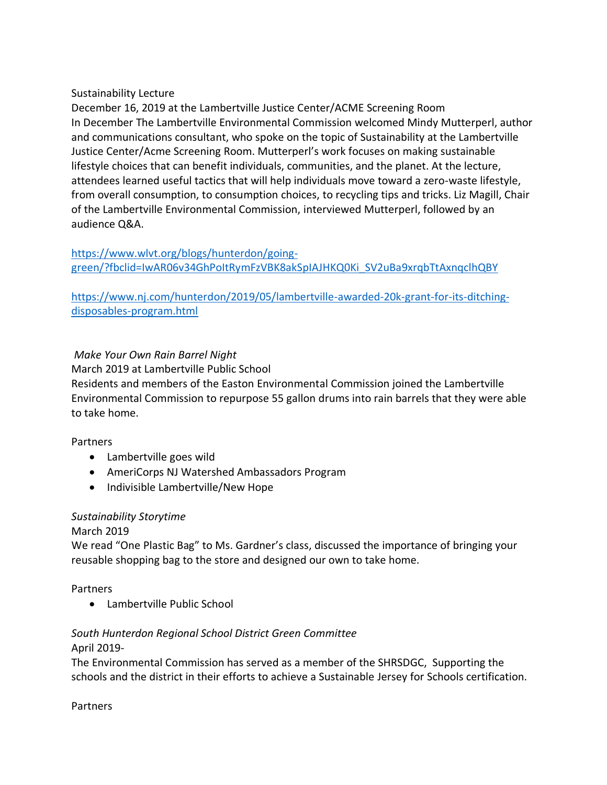#### Sustainability Lecture

December 16, 2019 at the Lambertville Justice Center/ACME Screening Room In December The Lambertville Environmental Commission welcomed Mindy Mutterperl, author and communications consultant, who spoke on the topic of Sustainability at the Lambertville Justice Center/Acme Screening Room. Mutterperl's work focuses on making sustainable lifestyle choices that can benefit individuals, communities, and the planet. At the lecture, attendees learned useful tactics that will help individuals move toward a zero-waste lifestyle, from overall consumption, to consumption choices, to recycling tips and tricks. Liz Magill, Chair of the Lambertville Environmental Commission, interviewed Mutterperl, followed by an audience Q&A.

## [https://www.wlvt.org/blogs/hunterdon/going-](https://www.wlvt.org/blogs/hunterdon/going-green/?fbclid=IwAR06v34GhPoItRymFzVBK8akSpIAJHKQ0Ki_SV2uBa9xrqbTtAxnqclhQBY)

[green/?fbclid=IwAR06v34GhPoItRymFzVBK8akSpIAJHKQ0Ki\\_SV2uBa9xrqbTtAxnqclhQBY](https://www.wlvt.org/blogs/hunterdon/going-green/?fbclid=IwAR06v34GhPoItRymFzVBK8akSpIAJHKQ0Ki_SV2uBa9xrqbTtAxnqclhQBY)

[https://www.nj.com/hunterdon/2019/05/lambertville-awarded-20k-grant-for-its-ditching](https://www.nj.com/hunterdon/2019/05/lambertville-awarded-20k-grant-for-its-ditching-disposables-program.html)[disposables-program.html](https://www.nj.com/hunterdon/2019/05/lambertville-awarded-20k-grant-for-its-ditching-disposables-program.html)

## *Make Your Own Rain Barrel Night*

March 2019 at Lambertville Public School

Residents and members of the Easton Environmental Commission joined the Lambertville Environmental Commission to repurpose 55 gallon drums into rain barrels that they were able to take home.

## Partners

- Lambertville goes wild
- AmeriCorps NJ Watershed Ambassadors Program
- Indivisible Lambertville/New Hope

## *Sustainability Storytime*

March 2019

We read "One Plastic Bag" to Ms. Gardner's class, discussed the importance of bringing your reusable shopping bag to the store and designed our own to take home.

Partners

• Lambertville Public School

# *South Hunterdon Regional School District Green Committee* April 2019-

The Environmental Commission has served as a member of the SHRSDGC, Supporting the schools and the district in their efforts to achieve a Sustainable Jersey for Schools certification.

Partners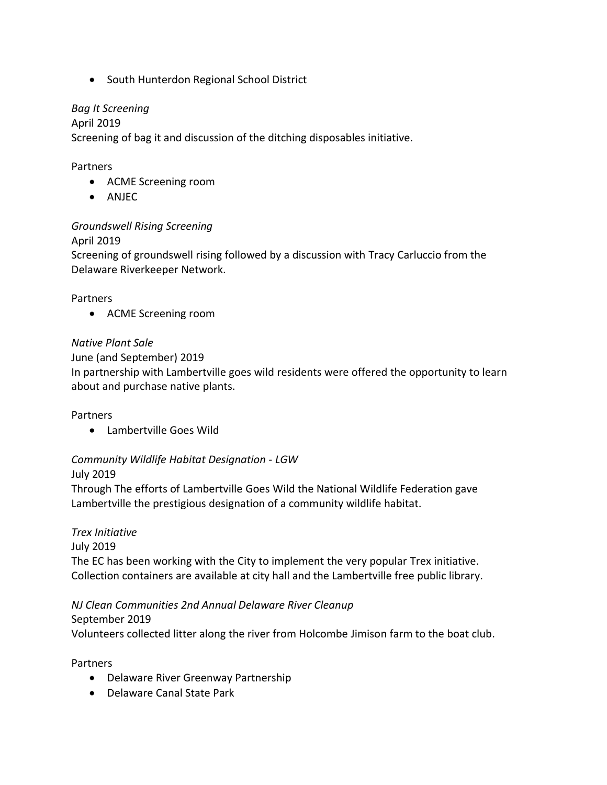• South Hunterdon Regional School District

## *Bag It Screening*

April 2019 Screening of bag it and discussion of the ditching disposables initiative.

Partners

- ACME Screening room
- ANJEC

## *Groundswell Rising Screening*

April 2019

Screening of groundswell rising followed by a discussion with Tracy Carluccio from the Delaware Riverkeeper Network.

#### Partners

• ACME Screening room

# *Native Plant Sale*

June (and September) 2019 In partnership with Lambertville goes wild residents were offered the opportunity to learn about and purchase native plants.

Partners

• Lambertville Goes Wild

## *Community Wildlife Habitat Designation - LGW*

July 2019

Through The efforts of Lambertville Goes Wild the National Wildlife Federation gave Lambertville the prestigious designation of a community wildlife habitat.

## *Trex Initiative*

July 2019

The EC has been working with the City to implement the very popular Trex initiative. Collection containers are available at city hall and the Lambertville free public library.

*NJ Clean Communities 2nd Annual Delaware River Cleanup*

September 2019

Volunteers collected litter along the river from Holcombe Jimison farm to the boat club.

Partners

- Delaware River Greenway Partnership
- Delaware Canal State Park